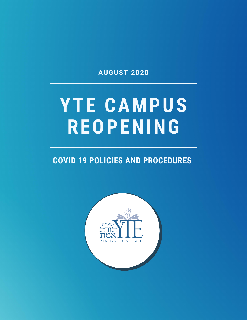**AUGUST 2020**

# **YTE CAMPUS REOPENING**

### **COVID 19 POLICIES AND PROCEDURES**

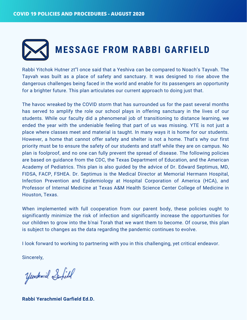# **MESSAGE FROM RABBI GARFIELD**

Rabbi Yitchok Hutner zt"l once said that a Yeshiva can be compared to Noach's Tayvah. The Tayvah was built as a place of safety and sanctuary. It was designed to rise above the dangerous challenges being faced in the world and enable for its passengers an opportunity for a brighter future. This plan articulates our current approach to doing just that.

The havoc wreaked by the COVID storm that has surrounded us for the past several months has served to amplify the role our school plays in offering sanctuary in the lives of our students. While our faculty did a phenomenal job of transitioning to distance learning, we ended the year with the undeniable feeling that part of us was missing. YTE is not just a place where classes meet and material is taught. In many ways it is home for our students. However, a home that cannot offer safety and shelter is not a home. That's why our first priority must be to ensure the safety of our students and staff while they are on campus. No plan is foolproof, and no one can fully prevent the spread of disease. The following policies are based on guidance from the CDC, the Texas Department of Education, and the American Academy of Pediatrics. This plan is also guided by the advice of Dr. Edward Septimus, MD, FIDSA, FACP, FSHEA. Dr. Septimus is the Medical Director at Memorial Hermann Hospital, Infection Prevention and Epidemiology at Hospital Corporation of America (HCA), and Professor of Internal Medicine at Texas A&M Health Science Center College of Medicine in Houston, Texas.

When implemented with full cooperation from our parent body, these policies ought to significantly minimize the risk of infection and significantly increase the opportunities for our children to grow into the b'nai Torah that we want them to become. Of course, this plan is subject to changes as the data regarding the pandemic continues to evolve.

I look forward to working to partnering with you in this challenging, yet critical endeavor.

Sincerely,

Yendrmil Serfield

**Rabbi Yerachmiel Garfield Ed.D.**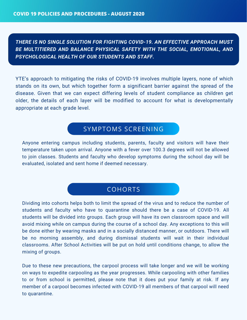*THERE IS NO SINGLE SOLUTION FOR FIGHTING COVID-19. AN EFFECTIVE APPROACH MUST BE MULTITIERED AND BALANCE PHYSICAL SAFETY WITH THE SOCIAL, EMOTIONAL, AND PSYCHOLOGICAL HEALTH OF OUR STUDENTS AND STAFF.*

YTE's approach to mitigating the risks of COVID-19 involves multiple layers, none of which stands on its own, but which together form a significant barrier against the spread of the disease. Given that we can expect differing levels of student compliance as children get older, the details of each layer will be modified to account for what is developmentally appropriate at each grade level.

### SYMPTOMS SCREENING

Anyone entering campus including students, parents, faculty and visitors will have their temperature taken upon arrival. Anyone with a fever over 100.3 degrees will not be allowed to join classes. Students and faculty who develop symptoms during the school day will be evaluated, isolated and sent home if deemed necessary.

### **COHORTS**

Dividing into cohorts helps both to limit the spread of the virus and to reduce the number of students and faculty who have to quarantine should there be a case of COVID-19. All students will be divided into groups. Each group will have its own classroom space and will avoid mixing while on campus during the course of a school day. Any exceptions to this will be done either by wearing masks and in a socially distanced manner, or outdoors. There will be no morning assembly, and during dismissal students will wait in their individual classrooms. After School Activities will be put on hold until conditions change, to allow the mixing of groups.

Due to these new precautions, the carpool process will take longer and we will be working on ways to expedite carpooling as the year progresses. While carpooling with other families to or from school is permitted, please note that it does put your family at risk. If any member of a carpool becomes infected with COVID-19 all members of that carpool will need to quarantine.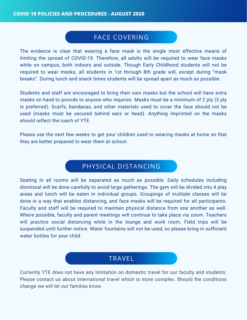### FACE COVERING

SCREENING The evidence is clear that wearing a face mask is the single most effective means of limiting the spread of COVID-19. Therefore, all adults will be required to wear face masks while on campus, both indoors and outside. Though Early Childhood students will not be required to wear masks, all students in 1st through 8th grade will, except during "mask breaks". During lunch and snack times students will be spread apart as much as possible.

Students and staff are encouraged to bring their own masks but the school will have extra masks on hand to provide to anyone who requires. Masks must be a minimum of 2 ply (3 ply is preferred). Scarfs, bandanas, and other materials used to cover the face should not be used (masks must be secured behind ears or head). Anything imprinted on the masks should reflect the ruach of YTE.

Please use the next few weeks to get your children used to wearing masks at home so that they are better prepared to wear them at school.

### PHYSICAL DISTANCING

Seating in all rooms will be separated as much as possible. Daily schedules including dismissal will be done carefully to avoid large gatherings. The gym will be divided into 4 play areas and lunch will be eaten in individual groups. Groupings of multiple classes will be done in a way that enables distancing, and face masks will be required for all participants. Faculty and staff will be required to maintain physical distance from one another as well. Where possible, faculty and parent meetings will continue to take place via zoom. Teachers will practice social distancing while in the lounge and work room. Field trips will be suspended until further notice. Water fountains will not be used, so please bring in sufficient water bottles for your child.

### TRAVEL

Currently YTE does not have any limitation on domestic travel for our faculty and students. Please contact us about international travel which is more complex. Should the conditions change we will let our families know.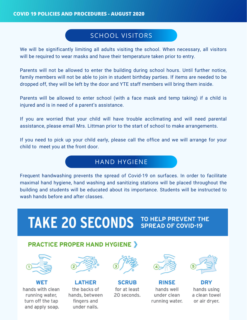### SCHOOL VISITORS

We will be significantly limiting all adults visiting the school. When necessary, all visitors will be required to wear masks and have their temperature taken prior to entry.

Parents will not be allowed to enter the building during school hours. Until further notice, family members will not be able to join in student birthday parties. If items are needed to be dropped off, they will be left by the door and YTE staff members will bring them inside.

Parents will be allowed to enter school (with a face mask and temp taking) if a child is injured and is in need of a parent's assistance.

If you are worried that your child will have trouble acclimating and will need parental assistance, please email Mrs. Littman prior to the start of school to make arrangements.

If you need to pick up your child early, please call the office and we will arrange for your child to meet you at the front door.

### HAND HYGIENE

Frequent handwashing prevents the spread of Covid-19 on surfaces. In order to facilitate maximal hand hygiene, hand washing and sanitizing stations will be placed throughout the building and students will be educated about its importance. Students will be instructed to wash hands before and after classes

# **TAKE 20 SECONDS JO HELP PREVENT THE**

#### **PRACTICE PROPER HAND HYGIENE >**



WET hands with clean running water, turn off the tap and apply soap.



**LATHER** the backs of hands, between fingers and under nails.



**SCRUB** for at least 20 seconds.



**RINSE** hands well under clean running water.



DRY hands using a clean towel or air dryer.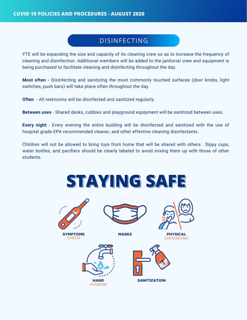### DISINFECTING

YTE will be expanding the size and capacity of its cleaning crew so as to increase the frequency of cleaning and disinfection. Additional members will be added to the janitorial crew and equipment is being purchased to facilitate cleaning and disinfecting throughout the day.

**Most often -** Disinfecting and sanitizing the most commonly touched surfaces (door knobs, light switches, push bars) will take place often throughout the day.

**Often** - All restrooms will be disinfected and sanitized regularly.

**Between uses** - Shared desks, cubbies and playground equipment will be sanitized between uses.

**Every night** - Every evening the entire building will be disinfected and sanitized with the use of hospital grade EPA recommended cleaner, and other effective cleaning disinfectants.

Children will not be allowed to bring toys from home that will be shared with others . Sippy cups, water bottles, and pacifiers should be clearly labeled to avoid mixing them up with those of other students.

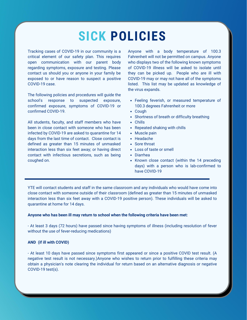## **SICK POLICIES**

Tracking cases of COVID-19 in our community is a critical element of our safety plan. This requires open communication with our parent body regarding symptoms, exposure and testing. Please contact us should you or anyone in your family be exposed to or have reason to suspect a positive COVID-19 case.

The following policies and procedures will guide the school's response to suspected exposure, confirmed exposure, symptoms of COVID-19 or confirmed COVID-19.

All students, faculty, and staff members who have been in close contact with someone who has been infected by COVID-19 are asked to quarantine for 14 days from the last time of contact. Close contact is defined as greater than 15 minutes of unmasked interaction less than six feet away; or having direct contact with infectious secretions, such as being coughed on.

Anyone with a body temperature of 100.3 Fahrenheit will not be permitted on campus. Anyone who displays two of the following known symptoms of COVID-19 illness will be asked to isolate until they can be picked up. People who are ill with COVID-19 may or may not have all of the symptoms listed. This list may be updated as knowledge of the virus expands.

- Feeling feverish, or measured temperature of 100.3 degrees Fahrenheit or more
- Cough
- Shortness of breath or difficulty breathing
- Chills
- Repeated shaking with chills
- Muscle pain
- Headache
- Sore throat
- Loss of taste or smell
- Diarrhea
- Known close contact (within the 14 preceding days) with a person who is lab-confirmed to have COVID-19

YTE will contact students and staff in the same classroom and any individuals who would have come into close contact with someone outside of their classroom (defined as greater than 15 minutes of unmasked interaction less than six feet away with a COVID-19 positive person). These individuals will be asked to quarantine at home for 14 days.

#### **Anyone who has been ill may return to school when the following criteria have been met:**

- At least 3 days (72 hours) have passed since having symptoms of illness (including resolution of fever without the use of fever-reducing medications)

#### **AND (if ill with COVID)**

- At least 10 days have passed since symptoms first appeared or since a positive COVID test result. (A negative test result is not necessary.)Anyone who wishes to return prior to fulfilling these criteria may obtain a physician's note clearing the individual for return based on an alternative diagnosis or negative COVID-19 test(s).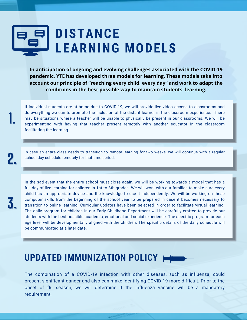## **DISTANCE LEARNING MODELS**

**In anticipation of ongoing and evolving challenges associated with the COVID-19 pandemic, YTE has developed three models for learning. These models take into account our principle of "reaching every child, every day" and work to adapt the conditions in the best possible way to maintain students' learning.**

If individual students are at home due to COVID-19, we will provide live video access to classrooms and do everything we can to promote the inclusion of the distant learner in the classroom experience. There may be situations where a teacher will be unable to physically be present in our classrooms. We will be experimenting with having that teacher present remotely with another educator in the classroom facilitating the learning. **1.**

In case an entire class needs to transition to remote learning for two weeks, we will continue with a regular school day schedule remotely for that time period.

In the sad event that the entire school must close again, we will be working towards a model that has a full day of live learning for children in 1st to 8th grades. We will work with our families to make sure every child has an appropriate device and the knowledge to use it independently. We will be working on these computer skills from the beginning of the school year to be prepared in case it becomes necessary to transition to online learning. Curricular updates have been selected in order to facilitate virtual learning. The daily program for children in our Early Childhood Department will be carefully crafted to provide our students with the best possible academic, emotional and social experience. The specific program for each age level will be developmentally aligned with the children. The specific details of the daily schedule will be communicated at a later date.

### **UPDATED IMMUNIZATION POLICY**

The combination of a COVID-19 infection with other diseases, such as influenza, could present significant danger and also can make identifying COVID-19 more difficult. Prior to the onset of flu season, we will determine if the influenza vaccine will be a mandatory requirement.

**2.**